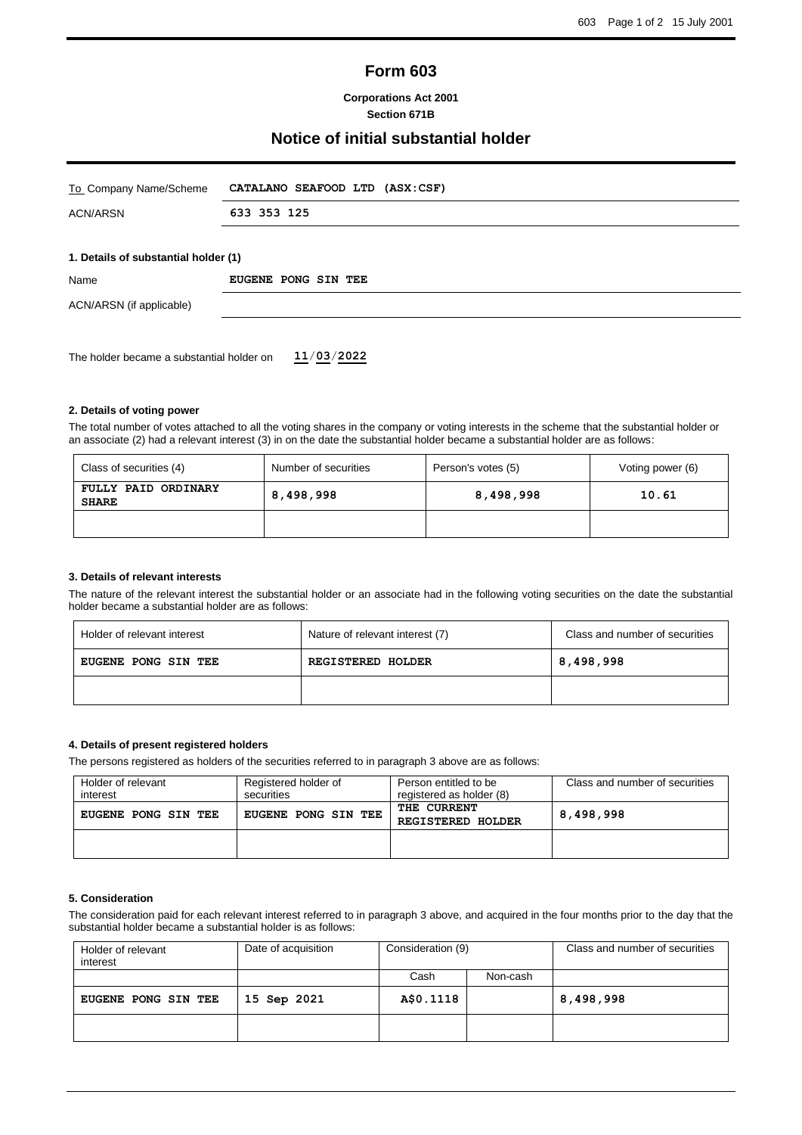# **Form 603**

**Corporations Act 2001 Section 671B**

# **Notice of initial substantial holder**

| To Company Name/Scheme                    | CATALANO SEAFOOD LTD (ASX:CSF)       |  |  |  |
|-------------------------------------------|--------------------------------------|--|--|--|
| <b>ACN/ARSN</b>                           | 633 353 125                          |  |  |  |
|                                           |                                      |  |  |  |
|                                           | 1. Details of substantial holder (1) |  |  |  |
| Name                                      | EUGENE PONG SIN TEE                  |  |  |  |
| ACN/ARSN (if applicable)                  |                                      |  |  |  |
|                                           |                                      |  |  |  |
| The holder became a substantial holder on | 11/03/2022                           |  |  |  |

### **2. Details of voting power**

The total number of votes attached to all the voting shares in the company or voting interests in the scheme that the substantial holder or an associate (2) had a relevant interest (3) in on the date the substantial holder became a substantial holder are as follows:

| Class of securities (4)             | Number of securities | Person's votes (5) | Voting power (6) |
|-------------------------------------|----------------------|--------------------|------------------|
| FULLY PAID ORDINARY<br><b>SHARE</b> | 8,498,998            |                    | 10.61            |
|                                     |                      |                    |                  |

#### **3. Details of relevant interests**

The nature of the relevant interest the substantial holder or an associate had in the following voting securities on the date the substantial holder became a substantial holder are as follows:

| Holder of relevant interest | Nature of relevant interest (7) | Class and number of securities |
|-----------------------------|---------------------------------|--------------------------------|
| <b>EUGENE PONG SIN TEE</b>  | <b>REGISTERED HOLDER</b>        | 8,498,998                      |
|                             |                                 |                                |

# **4. Details of present registered holders**

The persons registered as holders of the securities referred to in paragraph 3 above are as follows:

| Holder of relevant<br>interest | Registered holder of<br>securities                      | Person entitled to be<br>registered as holder (8) | Class and number of securities |
|--------------------------------|---------------------------------------------------------|---------------------------------------------------|--------------------------------|
| EUGENE PONG SIN TEE            | THE CURRENT<br>EUGENE PONG SIN TEE<br>REGISTERED HOLDER |                                                   | 8,498,998                      |
|                                |                                                         |                                                   |                                |

#### **5. Consideration**

The consideration paid for each relevant interest referred to in paragraph 3 above, and acquired in the four months prior to the day that the substantial holder became a substantial holder is as follows:

| Holder of relevant<br>interest | Date of acquisition | Consideration (9) |          | Class and number of securities |
|--------------------------------|---------------------|-------------------|----------|--------------------------------|
|                                |                     | Cash              | Non-cash |                                |
| <b>EUGENE PONG SIN TEE</b>     | 15 Sep 2021         | A\$0.1118         |          | 8,498,998                      |
|                                |                     |                   |          |                                |